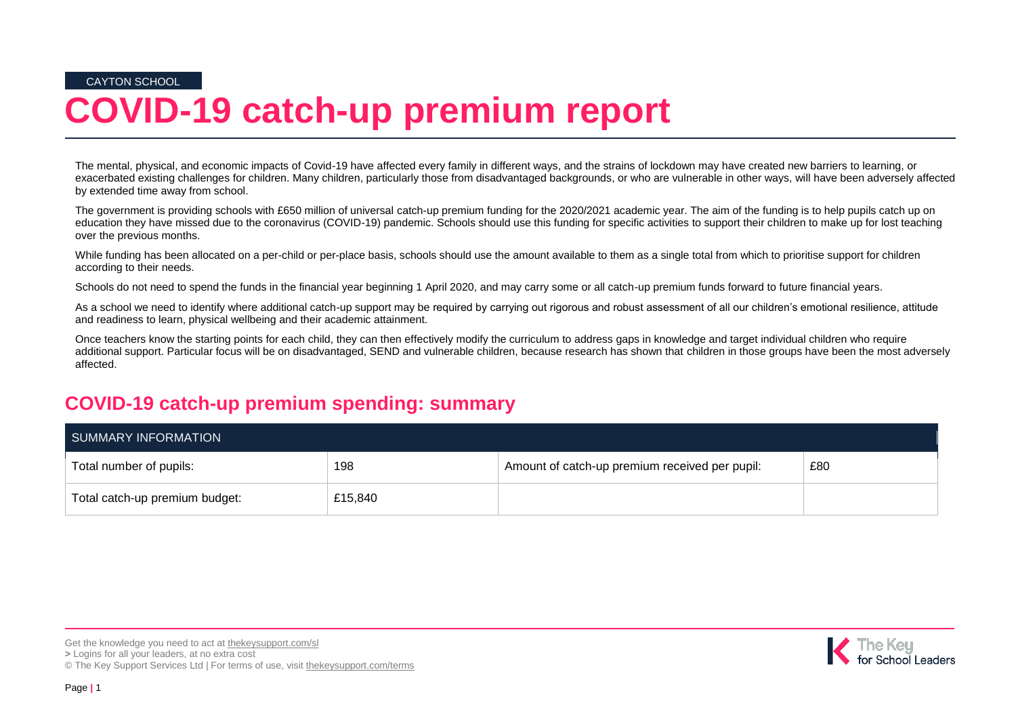CAYTON SCHOOL

# **COVID-19 catch-up premium report**

The mental, physical, and economic impacts of Covid-19 have affected every family in different ways, and the strains of lockdown may have created new barriers to learning, or exacerbated existing challenges for children. Many children, particularly those from disadvantaged backgrounds, or who are vulnerable in other ways, will have been adversely affected by extended time away from school.

The government is providing schools with £650 million of universal catch-up premium funding for the 2020/2021 academic year. The aim of the funding is to help pupils catch up on education they have missed due to the coronavirus (COVID-19) pandemic. Schools should use this funding for specific activities to support their children to make up for lost teaching over the previous months.

While funding has been allocated on a per-child or per-place basis, schools should use the amount available to them as a single total from which to prioritise support for children according to their needs.

Schools do not need to spend the funds in the financial year beginning 1 April 2020, and may carry some or all catch-up premium funds forward to future financial years.

As a school we need to identify where additional catch-up support may be required by carrying out rigorous and robust assessment of all our children's emotional resilience, attitude and readiness to learn, physical wellbeing and their academic attainment.

Once teachers know the starting points for each child, they can then effectively modify the curriculum to address gaps in knowledge and target individual children who require additional support. Particular focus will be on disadvantaged, SEND and vulnerable children, because research has shown that children in those groups have been the most adversely affected.

### **COVID-19 catch-up premium spending: summary**

| SUMMARY INFORMATION            |         |                                                |     |  |  |
|--------------------------------|---------|------------------------------------------------|-----|--|--|
| Total number of pupils:        | 198     | Amount of catch-up premium received per pupil: | £80 |  |  |
| Total catch-up premium budget: | £15,840 |                                                |     |  |  |

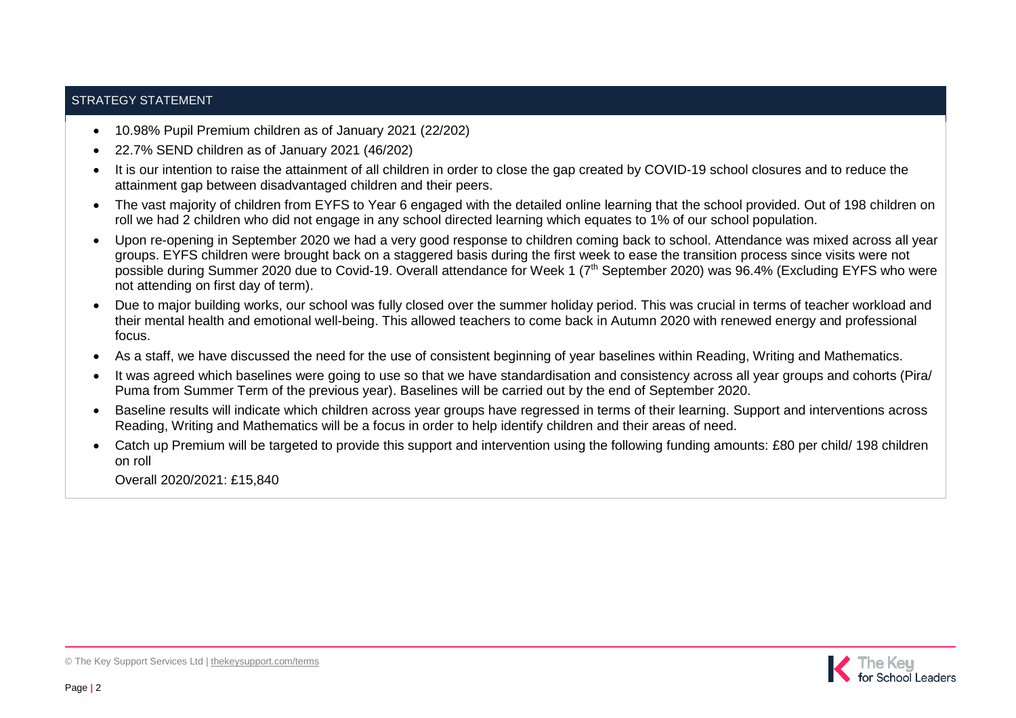#### STRATEGY STATEMENT

- 10.98% Pupil Premium children as of January 2021 (22/202)
- 22.7% SEND children as of January 2021 (46/202)
- It is our intention to raise the attainment of all children in order to close the gap created by COVID-19 school closures and to reduce the attainment gap between disadvantaged children and their peers.
- The vast majority of children from EYFS to Year 6 engaged with the detailed online learning that the school provided. Out of 198 children on roll we had 2 children who did not engage in any school directed learning which equates to 1% of our school population.
- Upon re-opening in September 2020 we had a very good response to children coming back to school. Attendance was mixed across all year groups. EYFS children were brought back on a staggered basis during the first week to ease the transition process since visits were not possible during Summer 2020 due to Covid-19. Overall attendance for Week 1 (7<sup>th</sup> September 2020) was 96.4% (Excluding EYFS who were not attending on first day of term).
- Due to major building works, our school was fully closed over the summer holiday period. This was crucial in terms of teacher workload and their mental health and emotional well-being. This allowed teachers to come back in Autumn 2020 with renewed energy and professional focus.
- As a staff, we have discussed the need for the use of consistent beginning of year baselines within Reading, Writing and Mathematics.
- It was agreed which baselines were going to use so that we have standardisation and consistency across all year groups and cohorts (Pira/ Puma from Summer Term of the previous year). Baselines will be carried out by the end of September 2020.
- Baseline results will indicate which children across year groups have regressed in terms of their learning. Support and interventions across Reading, Writing and Mathematics will be a focus in order to help identify children and their areas of need.
- Catch up Premium will be targeted to provide this support and intervention using the following funding amounts: £80 per child/ 198 children on roll

Overall 2020/2021: £15,840

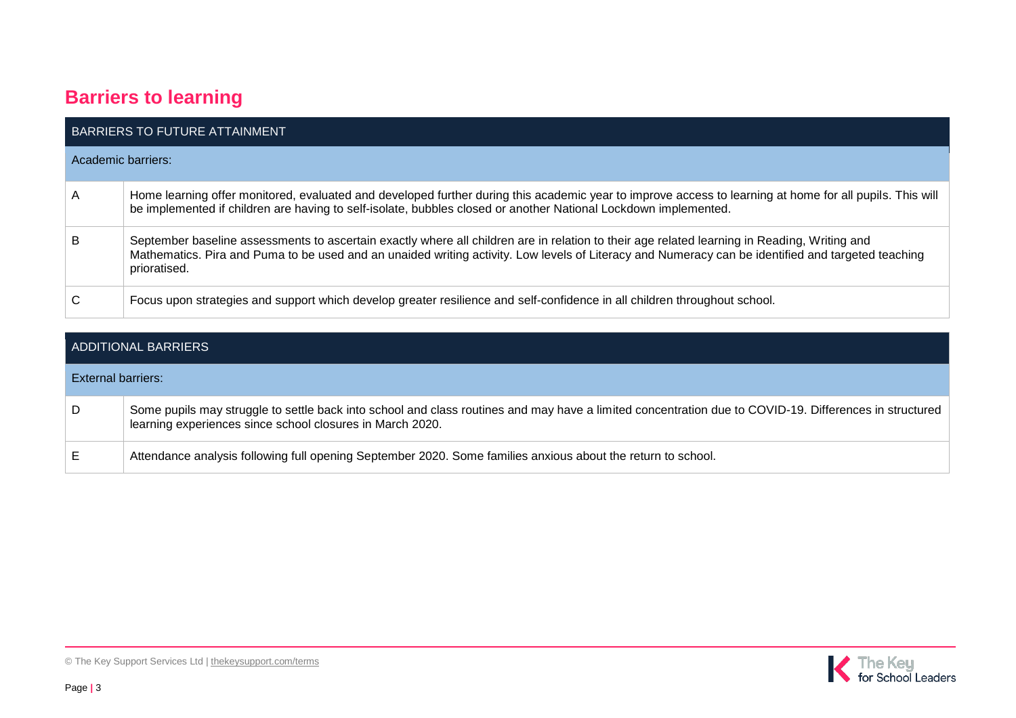## **Barriers to learning**

|                    | BARRIERS TO FUTURE ATTAINMENT                                                                                                                                                                                                                                                                                      |
|--------------------|--------------------------------------------------------------------------------------------------------------------------------------------------------------------------------------------------------------------------------------------------------------------------------------------------------------------|
| Academic barriers: |                                                                                                                                                                                                                                                                                                                    |
| A                  | Home learning offer monitored, evaluated and developed further during this academic year to improve access to learning at home for all pupils. This will<br>be implemented if children are having to self-isolate, bubbles closed or another National Lockdown implemented.                                        |
| B                  | September baseline assessments to ascertain exactly where all children are in relation to their age related learning in Reading, Writing and<br>Mathematics. Pira and Puma to be used and an unaided writing activity. Low levels of Literacy and Numeracy can be identified and targeted teaching<br>prioratised. |
| C                  | Focus upon strategies and support which develop greater resilience and self-confidence in all children throughout school.                                                                                                                                                                                          |

| ADDITIONAL BARRIERS |                                                                                                                                                                                                                     |  |  |  |
|---------------------|---------------------------------------------------------------------------------------------------------------------------------------------------------------------------------------------------------------------|--|--|--|
| External barriers:  |                                                                                                                                                                                                                     |  |  |  |
| D                   | Some pupils may struggle to settle back into school and class routines and may have a limited concentration due to COVID-19. Differences in structured<br>learning experiences since school closures in March 2020. |  |  |  |
| Е                   | Attendance analysis following full opening September 2020. Some families anxious about the return to school.                                                                                                        |  |  |  |

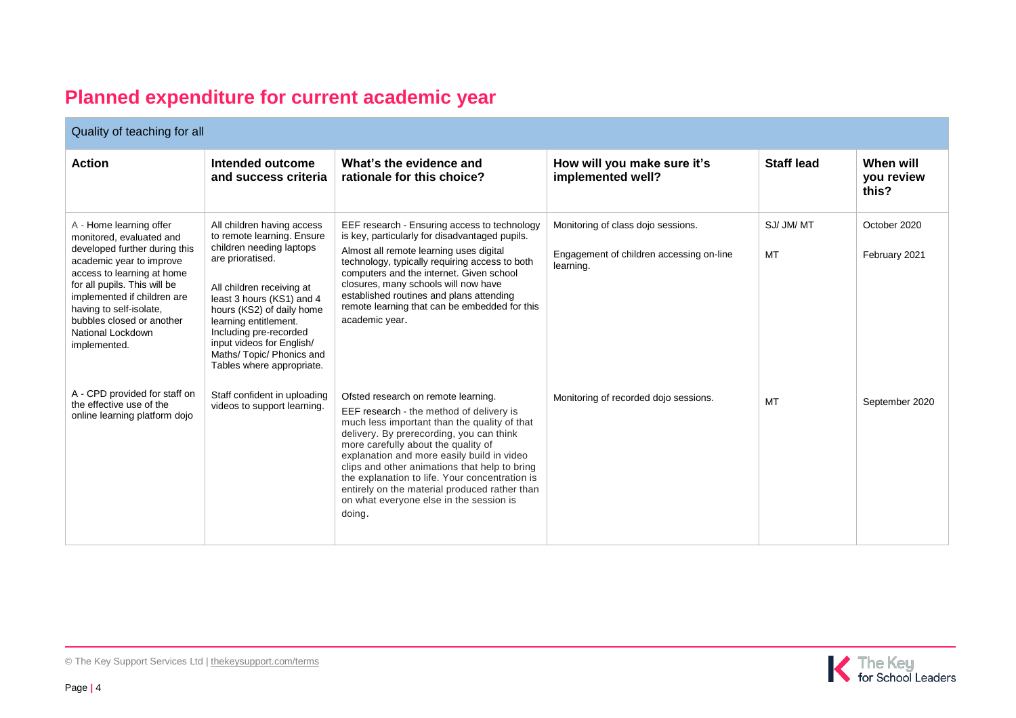## **Planned expenditure for current academic year**

| Quality of teaching for all                                                                                                                                                                                                                                                                                |                                                                                                                                                                                                                                                                                                                                         |                                                                                                                                                                                                                                                                                                                                                                                                                                                                           |                                                                                             |                   |                                  |  |
|------------------------------------------------------------------------------------------------------------------------------------------------------------------------------------------------------------------------------------------------------------------------------------------------------------|-----------------------------------------------------------------------------------------------------------------------------------------------------------------------------------------------------------------------------------------------------------------------------------------------------------------------------------------|---------------------------------------------------------------------------------------------------------------------------------------------------------------------------------------------------------------------------------------------------------------------------------------------------------------------------------------------------------------------------------------------------------------------------------------------------------------------------|---------------------------------------------------------------------------------------------|-------------------|----------------------------------|--|
| <b>Action</b>                                                                                                                                                                                                                                                                                              | Intended outcome<br>and success criteria                                                                                                                                                                                                                                                                                                | What's the evidence and<br>rationale for this choice?                                                                                                                                                                                                                                                                                                                                                                                                                     | How will you make sure it's<br>implemented well?                                            | <b>Staff lead</b> | When will<br>you review<br>this? |  |
| A - Home learning offer<br>monitored, evaluated and<br>developed further during this<br>academic year to improve<br>access to learning at home<br>for all pupils. This will be<br>implemented if children are<br>having to self-isolate,<br>bubbles closed or another<br>National Lockdown<br>implemented. | All children having access<br>to remote learning. Ensure<br>children needing laptops<br>are prioratised.<br>All children receiving at<br>least 3 hours (KS1) and 4<br>hours (KS2) of daily home<br>learning entitlement.<br>Including pre-recorded<br>input videos for English/<br>Maths/Topic/Phonics and<br>Tables where appropriate. | EEF research - Ensuring access to technology<br>is key, particularly for disadvantaged pupils.<br>Almost all remote learning uses digital<br>technology, typically requiring access to both<br>computers and the internet. Given school<br>closures, many schools will now have<br>established routines and plans attending<br>remote learning that can be embedded for this<br>academic year.                                                                            | Monitoring of class dojo sessions.<br>Engagement of children accessing on-line<br>learning. | SJ/JM/MT<br>MT    | October 2020<br>February 2021    |  |
| A - CPD provided for staff on<br>the effective use of the<br>online learning platform dojo                                                                                                                                                                                                                 | Staff confident in uploading<br>videos to support learning.                                                                                                                                                                                                                                                                             | Ofsted research on remote learning.<br>EEF research - the method of delivery is<br>much less important than the quality of that<br>delivery. By prerecording, you can think<br>more carefully about the quality of<br>explanation and more easily build in video<br>clips and other animations that help to bring<br>the explanation to life. Your concentration is<br>entirely on the material produced rather than<br>on what everyone else in the session is<br>doing. | Monitoring of recorded dojo sessions.                                                       | MT                | September 2020                   |  |



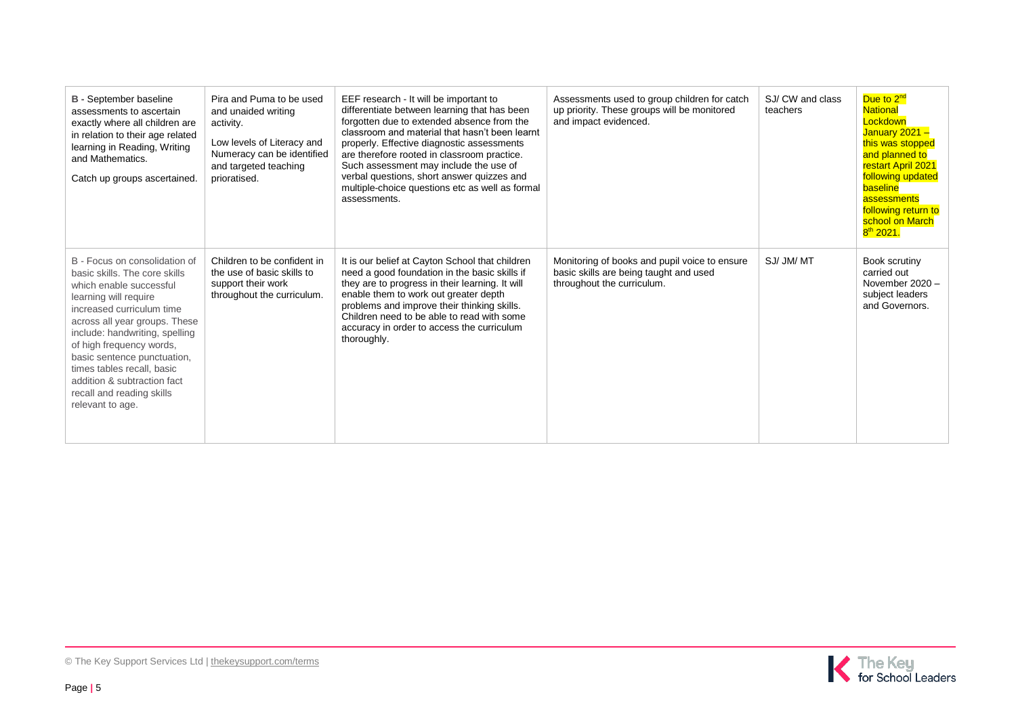| <b>B</b> - September baseline<br>assessments to ascertain<br>exactly where all children are<br>in relation to their age related<br>learning in Reading, Writing<br>and Mathematics.<br>Catch up groups ascertained.                                                                                                                                                                         | Pira and Puma to be used<br>and unaided writing<br>activity.<br>Low levels of Literacy and<br>Numeracy can be identified<br>and targeted teaching<br>prioratised. | EEF research - It will be important to<br>differentiate between learning that has been<br>forgotten due to extended absence from the<br>classroom and material that hasn't been learnt<br>properly. Effective diagnostic assessments<br>are therefore rooted in classroom practice.<br>Such assessment may include the use of<br>verbal questions, short answer quizzes and<br>multiple-choice questions etc as well as formal<br>assessments. | Assessments used to group children for catch<br>up priority. These groups will be monitored<br>and impact evidenced.  | SJ/CW and class<br>teachers | Due to 2 <sup>nd</sup><br><b>National</b><br>Lockdown<br>January 2021 -<br>this was stopped<br>and planned to<br>restart April 2021<br>following updated<br>baseline<br>assessments<br>following return to<br>school on March<br>$8th$ 2021. |
|---------------------------------------------------------------------------------------------------------------------------------------------------------------------------------------------------------------------------------------------------------------------------------------------------------------------------------------------------------------------------------------------|-------------------------------------------------------------------------------------------------------------------------------------------------------------------|------------------------------------------------------------------------------------------------------------------------------------------------------------------------------------------------------------------------------------------------------------------------------------------------------------------------------------------------------------------------------------------------------------------------------------------------|-----------------------------------------------------------------------------------------------------------------------|-----------------------------|----------------------------------------------------------------------------------------------------------------------------------------------------------------------------------------------------------------------------------------------|
| B - Focus on consolidation of<br>basic skills. The core skills<br>which enable successful<br>learning will require<br>increased curriculum time<br>across all year groups. These<br>include: handwriting, spelling<br>of high frequency words,<br>basic sentence punctuation,<br>times tables recall, basic<br>addition & subtraction fact<br>recall and reading skills<br>relevant to age. | Children to be confident in<br>the use of basic skills to<br>support their work<br>throughout the curriculum.                                                     | It is our belief at Cayton School that children<br>need a good foundation in the basic skills if<br>they are to progress in their learning. It will<br>enable them to work out greater depth<br>problems and improve their thinking skills.<br>Children need to be able to read with some<br>accuracy in order to access the curriculum<br>thoroughly.                                                                                         | Monitoring of books and pupil voice to ensure<br>basic skills are being taught and used<br>throughout the curriculum. | SJ/ JM/ MT                  | Book scrutiny<br>carried out<br>November 2020 -<br>subject leaders<br>and Governors.                                                                                                                                                         |

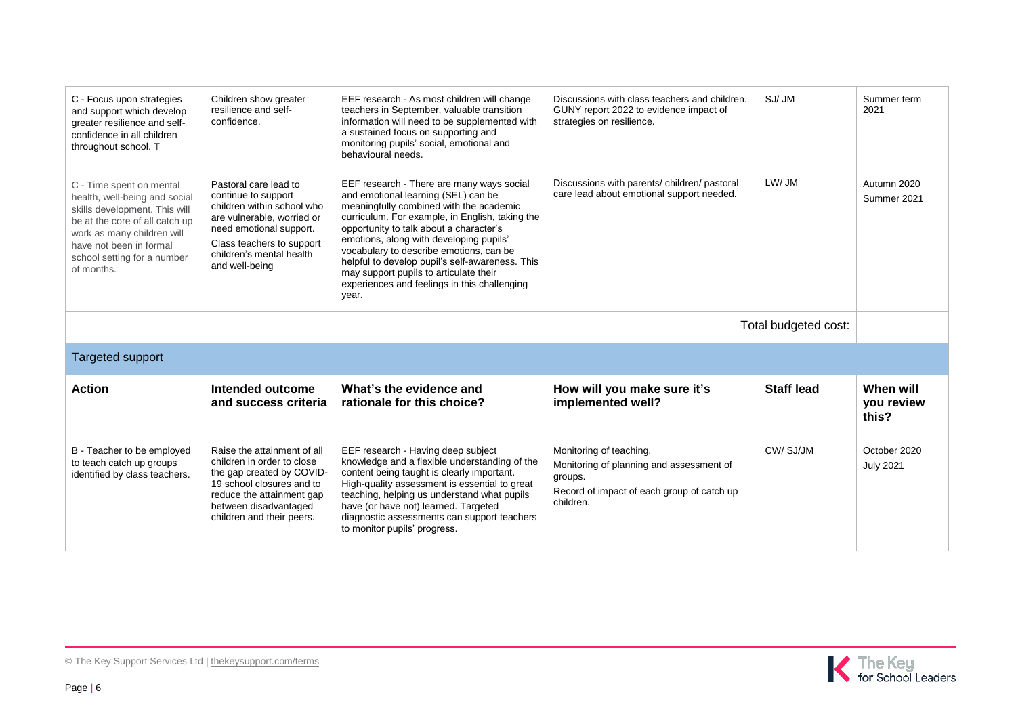| C - Focus upon strategies<br>and support which develop<br>greater resilience and self-<br>confidence in all children<br>throughout school. T                                                                                       | Children show greater<br>resilience and self-<br>confidence.                                                                                                                                                   | EEF research - As most children will change<br>teachers in September, valuable transition<br>information will need to be supplemented with<br>a sustained focus on supporting and<br>monitoring pupils' social, emotional and<br>behavioural needs.                                                                                                                                                                                                                   | Discussions with class teachers and children.<br>GUNY report 2022 to evidence impact of<br>strategies on resilience.                      | SJ/JM             | Summer term<br>2021              |
|------------------------------------------------------------------------------------------------------------------------------------------------------------------------------------------------------------------------------------|----------------------------------------------------------------------------------------------------------------------------------------------------------------------------------------------------------------|-----------------------------------------------------------------------------------------------------------------------------------------------------------------------------------------------------------------------------------------------------------------------------------------------------------------------------------------------------------------------------------------------------------------------------------------------------------------------|-------------------------------------------------------------------------------------------------------------------------------------------|-------------------|----------------------------------|
| C - Time spent on mental<br>health, well-being and social<br>skills development. This will<br>be at the core of all catch up<br>work as many children will<br>have not been in formal<br>school setting for a number<br>of months. | Pastoral care lead to<br>continue to support<br>children within school who<br>are vulnerable, worried or<br>need emotional support.<br>Class teachers to support<br>children's mental health<br>and well-being | EEF research - There are many ways social<br>and emotional learning (SEL) can be<br>meaningfully combined with the academic<br>curriculum. For example, in English, taking the<br>opportunity to talk about a character's<br>emotions, along with developing pupils'<br>vocabulary to describe emotions, can be<br>helpful to develop pupil's self-awareness. This<br>may support pupils to articulate their<br>experiences and feelings in this challenging<br>year. | Discussions with parents/children/pastoral<br>care lead about emotional support needed.                                                   | LW/ JM            | Autumn 2020<br>Summer 2021       |
| Total budgeted cost:                                                                                                                                                                                                               |                                                                                                                                                                                                                |                                                                                                                                                                                                                                                                                                                                                                                                                                                                       |                                                                                                                                           |                   |                                  |
| <b>Targeted support</b>                                                                                                                                                                                                            |                                                                                                                                                                                                                |                                                                                                                                                                                                                                                                                                                                                                                                                                                                       |                                                                                                                                           |                   |                                  |
| <b>Action</b>                                                                                                                                                                                                                      | Intended outcome<br>and success criteria                                                                                                                                                                       | What's the evidence and<br>rationale for this choice?                                                                                                                                                                                                                                                                                                                                                                                                                 | How will you make sure it's<br>implemented well?                                                                                          | <b>Staff lead</b> | When will<br>you review<br>this? |
| B - Teacher to be employed<br>to teach catch up groups<br>identified by class teachers.                                                                                                                                            | Raise the attainment of all<br>children in order to close<br>the gap created by COVID-<br>19 school closures and to<br>reduce the attainment gap<br>between disadvantaged<br>children and their peers.         | EEF research - Having deep subject<br>knowledge and a flexible understanding of the<br>content being taught is clearly important.<br>High-quality assessment is essential to great<br>teaching, helping us understand what pupils<br>have (or have not) learned. Targeted<br>diagnostic assessments can support teachers                                                                                                                                              | Monitoring of teaching.<br>Monitoring of planning and assessment of<br>groups.<br>Record of impact of each group of catch up<br>children. | CW/SJ/JM          | October 2020<br><b>July 2021</b> |

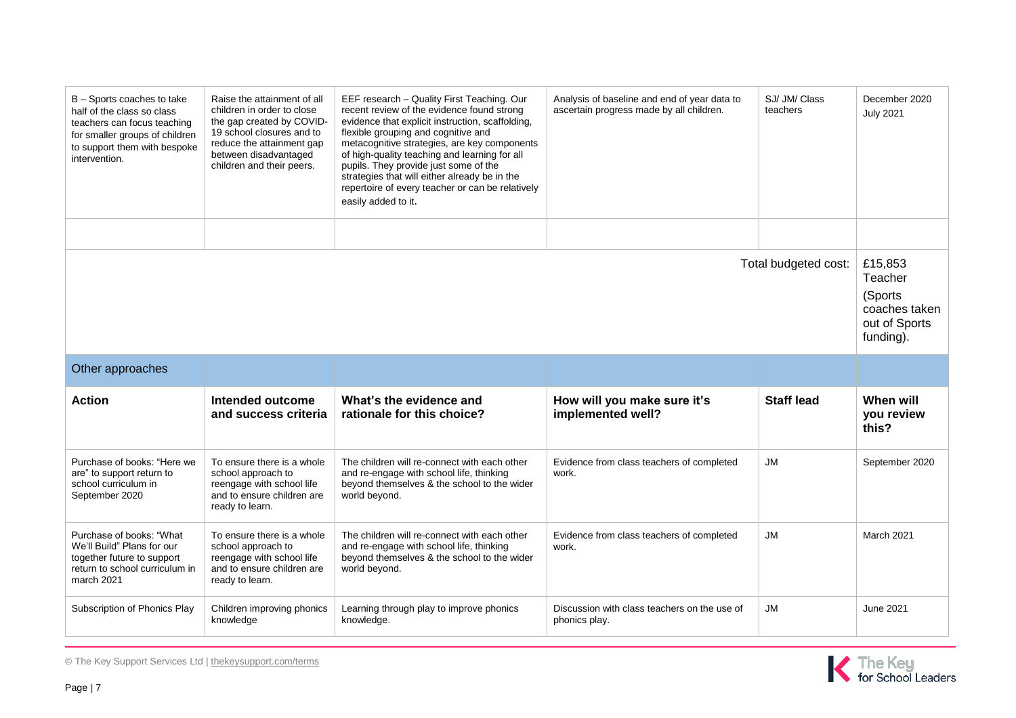| B - Sports coaches to take<br>half of the class so class<br>teachers can focus teaching<br>for smaller groups of children<br>to support them with bespoke<br>intervention. | Raise the attainment of all<br>children in order to close<br>the gap created by COVID-<br>19 school closures and to<br>reduce the attainment gap<br>between disadvantaged<br>children and their peers. | EEF research - Quality First Teaching. Our<br>recent review of the evidence found strong<br>evidence that explicit instruction, scaffolding,<br>flexible grouping and cognitive and<br>metacognitive strategies, are key components<br>of high-quality teaching and learning for all<br>pupils. They provide just some of the<br>strategies that will either already be in the<br>repertoire of every teacher or can be relatively<br>easily added to it. | Analysis of baseline and end of year data to<br>ascertain progress made by all children. | SJ/ JM/ Class<br>teachers | December 2020<br><b>July 2021</b>                                             |
|----------------------------------------------------------------------------------------------------------------------------------------------------------------------------|--------------------------------------------------------------------------------------------------------------------------------------------------------------------------------------------------------|-----------------------------------------------------------------------------------------------------------------------------------------------------------------------------------------------------------------------------------------------------------------------------------------------------------------------------------------------------------------------------------------------------------------------------------------------------------|------------------------------------------------------------------------------------------|---------------------------|-------------------------------------------------------------------------------|
| Total budgeted cost:                                                                                                                                                       |                                                                                                                                                                                                        |                                                                                                                                                                                                                                                                                                                                                                                                                                                           |                                                                                          |                           | £15,853<br>Teacher<br>(Sports)<br>coaches taken<br>out of Sports<br>funding). |
| Other approaches                                                                                                                                                           |                                                                                                                                                                                                        |                                                                                                                                                                                                                                                                                                                                                                                                                                                           |                                                                                          |                           |                                                                               |
| <b>Action</b>                                                                                                                                                              | Intended outcome<br>and success criteria                                                                                                                                                               | What's the evidence and<br>rationale for this choice?                                                                                                                                                                                                                                                                                                                                                                                                     | How will you make sure it's<br>implemented well?                                         | <b>Staff lead</b>         | When will<br>you review<br>this?                                              |
| Purchase of books: "Here we<br>are" to support return to<br>school curriculum in<br>September 2020                                                                         | To ensure there is a whole<br>school approach to<br>reengage with school life<br>and to ensure children are<br>ready to learn.                                                                         | The children will re-connect with each other<br>and re-engage with school life, thinking<br>beyond themselves & the school to the wider<br>world beyond.                                                                                                                                                                                                                                                                                                  | Evidence from class teachers of completed<br>work.                                       | JM                        | September 2020                                                                |
| Purchase of books: "What<br>We'll Build" Plans for our<br>together future to support<br>return to school curriculum in<br>march 2021                                       | To ensure there is a whole<br>school approach to<br>reengage with school life<br>and to ensure children are<br>ready to learn.                                                                         | The children will re-connect with each other<br>and re-engage with school life, thinking<br>beyond themselves & the school to the wider<br>world beyond.                                                                                                                                                                                                                                                                                                  | Evidence from class teachers of completed<br>work.                                       | JM                        | March 2021                                                                    |
| Subscription of Phonics Play                                                                                                                                               | Children improving phonics<br>knowledge                                                                                                                                                                | Learning through play to improve phonics<br>knowledge.                                                                                                                                                                                                                                                                                                                                                                                                    | Discussion with class teachers on the use of<br>phonics play.                            | <b>JM</b>                 | <b>June 2021</b>                                                              |

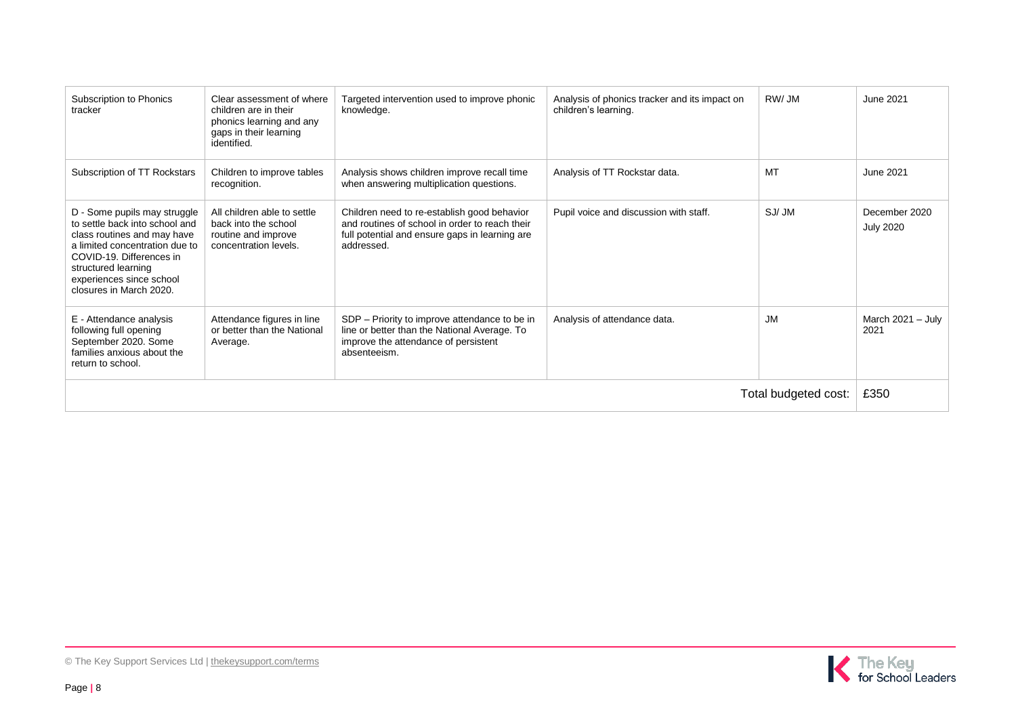| Subscription to Phonics<br>tracker                                                                                                                                                                                                        | Clear assessment of where<br>children are in their<br>phonics learning and any<br>gaps in their learning<br>identified. | Targeted intervention used to improve phonic<br>knowledge.                                                                                                    | Analysis of phonics tracker and its impact on<br>children's learning. | RW/JM     | June 2021                         |
|-------------------------------------------------------------------------------------------------------------------------------------------------------------------------------------------------------------------------------------------|-------------------------------------------------------------------------------------------------------------------------|---------------------------------------------------------------------------------------------------------------------------------------------------------------|-----------------------------------------------------------------------|-----------|-----------------------------------|
| Subscription of TT Rockstars                                                                                                                                                                                                              | Children to improve tables<br>recognition.                                                                              | Analysis shows children improve recall time<br>when answering multiplication questions.                                                                       | Analysis of TT Rockstar data.                                         | MT        | June 2021                         |
| D - Some pupils may struggle<br>to settle back into school and<br>class routines and may have<br>a limited concentration due to<br>COVID-19. Differences in<br>structured learning<br>experiences since school<br>closures in March 2020. | All children able to settle<br>back into the school<br>routine and improve<br>concentration levels.                     | Children need to re-establish good behavior<br>and routines of school in order to reach their<br>full potential and ensure gaps in learning are<br>addressed. | Pupil voice and discussion with staff.                                | SJ/JM     | December 2020<br><b>July 2020</b> |
| E - Attendance analysis<br>following full opening<br>September 2020. Some<br>families anxious about the<br>return to school.                                                                                                              | Attendance figures in line<br>or better than the National<br>Average.                                                   | SDP – Priority to improve attendance to be in<br>line or better than the National Average. To<br>improve the attendance of persistent<br>absenteeism.         | Analysis of attendance data.                                          | <b>JM</b> | March $2021 - July$<br>2021       |
| Total budgeted cost:                                                                                                                                                                                                                      |                                                                                                                         |                                                                                                                                                               |                                                                       | £350      |                                   |